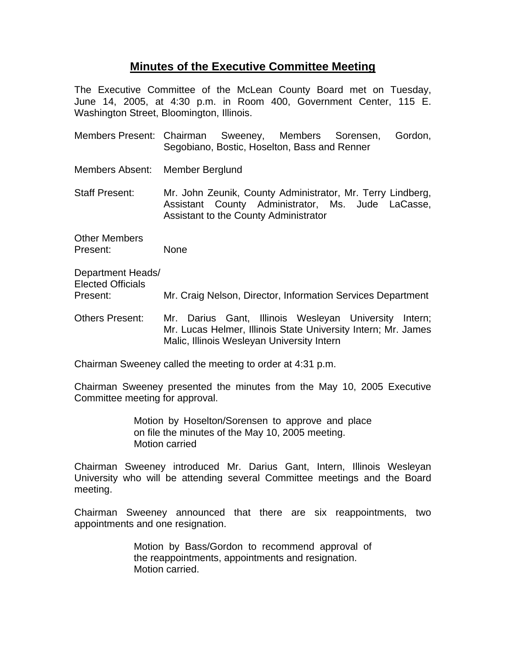## **Minutes of the Executive Committee Meeting**

The Executive Committee of the McLean County Board met on Tuesday, June 14, 2005, at 4:30 p.m. in Room 400, Government Center, 115 E. Washington Street, Bloomington, Illinois.

- Members Present: Chairman Sweeney, Members Sorensen, Gordon, Segobiano, Bostic, Hoselton, Bass and Renner
- Members Absent: Member Berglund

Staff Present: Mr. John Zeunik, County Administrator, Mr. Terry Lindberg, Assistant County Administrator, Ms. Jude LaCasse, Assistant to the County Administrator

Other Members Present: None

Department Heads/ Elected Officials Present: Mr. Craig Nelson, Director, Information Services Department

Others Present: Mr. Darius Gant, Illinois Wesleyan University Intern; Mr. Lucas Helmer, Illinois State University Intern; Mr. James Malic, Illinois Wesleyan University Intern

Chairman Sweeney called the meeting to order at 4:31 p.m.

Chairman Sweeney presented the minutes from the May 10, 2005 Executive Committee meeting for approval.

> Motion by Hoselton/Sorensen to approve and place on file the minutes of the May 10, 2005 meeting. Motion carried

Chairman Sweeney introduced Mr. Darius Gant, Intern, Illinois Wesleyan University who will be attending several Committee meetings and the Board meeting.

Chairman Sweeney announced that there are six reappointments, two appointments and one resignation.

> Motion by Bass/Gordon to recommend approval of the reappointments, appointments and resignation. Motion carried.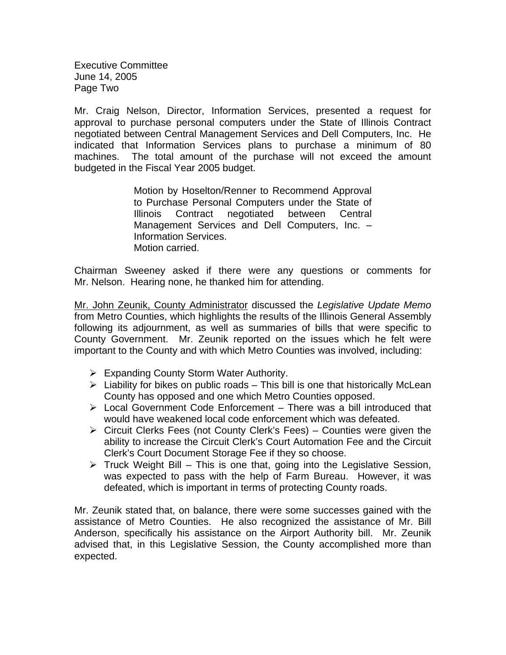Executive Committee June 14, 2005 Page Two

Mr. Craig Nelson, Director, Information Services, presented a request for approval to purchase personal computers under the State of Illinois Contract negotiated between Central Management Services and Dell Computers, Inc. He indicated that Information Services plans to purchase a minimum of 80 machines. The total amount of the purchase will not exceed the amount budgeted in the Fiscal Year 2005 budget.

> Motion by Hoselton/Renner to Recommend Approval to Purchase Personal Computers under the State of Illinois Contract negotiated between Central Management Services and Dell Computers, Inc. – Information Services. Motion carried.

Chairman Sweeney asked if there were any questions or comments for Mr. Nelson. Hearing none, he thanked him for attending.

Mr. John Zeunik, County Administrator discussed the *Legislative Update Memo* from Metro Counties, which highlights the results of the Illinois General Assembly following its adjournment, as well as summaries of bills that were specific to County Government. Mr. Zeunik reported on the issues which he felt were important to the County and with which Metro Counties was involved, including:

- ¾ Expanding County Storm Water Authority.
- $\triangleright$  Liability for bikes on public roads This bill is one that historically McLean County has opposed and one which Metro Counties opposed.
- $\triangleright$  Local Government Code Enforcement There was a bill introduced that would have weakened local code enforcement which was defeated.
- $\triangleright$  Circuit Clerks Fees (not County Clerk's Fees) Counties were given the ability to increase the Circuit Clerk's Court Automation Fee and the Circuit Clerk's Court Document Storage Fee if they so choose.
- $\triangleright$  Truck Weight Bill This is one that, going into the Legislative Session, was expected to pass with the help of Farm Bureau. However, it was defeated, which is important in terms of protecting County roads.

Mr. Zeunik stated that, on balance, there were some successes gained with the assistance of Metro Counties. He also recognized the assistance of Mr. Bill Anderson, specifically his assistance on the Airport Authority bill. Mr. Zeunik advised that, in this Legislative Session, the County accomplished more than expected.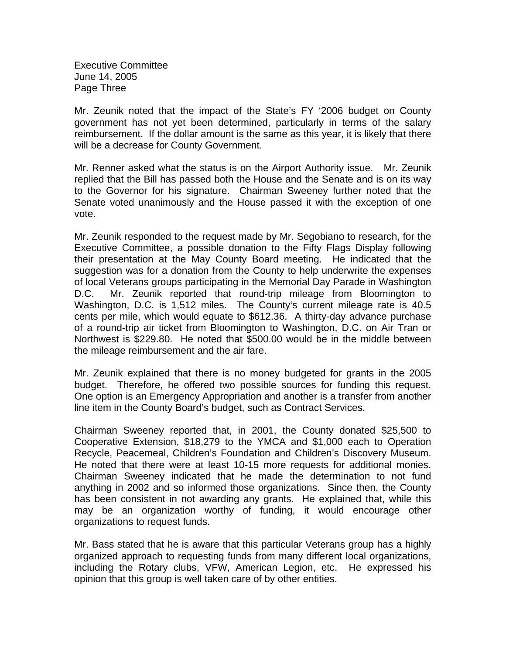Executive Committee June 14, 2005 Page Three

Mr. Zeunik noted that the impact of the State's FY '2006 budget on County government has not yet been determined, particularly in terms of the salary reimbursement. If the dollar amount is the same as this year, it is likely that there will be a decrease for County Government.

Mr. Renner asked what the status is on the Airport Authority issue. Mr. Zeunik replied that the Bill has passed both the House and the Senate and is on its way to the Governor for his signature. Chairman Sweeney further noted that the Senate voted unanimously and the House passed it with the exception of one vote.

Mr. Zeunik responded to the request made by Mr. Segobiano to research, for the Executive Committee, a possible donation to the Fifty Flags Display following their presentation at the May County Board meeting. He indicated that the suggestion was for a donation from the County to help underwrite the expenses of local Veterans groups participating in the Memorial Day Parade in Washington D.C. Mr. Zeunik reported that round-trip mileage from Bloomington to Washington, D.C. is 1,512 miles. The County's current mileage rate is 40.5 cents per mile, which would equate to \$612.36. A thirty-day advance purchase of a round-trip air ticket from Bloomington to Washington, D.C. on Air Tran or Northwest is \$229.80. He noted that \$500.00 would be in the middle between the mileage reimbursement and the air fare.

Mr. Zeunik explained that there is no money budgeted for grants in the 2005 budget. Therefore, he offered two possible sources for funding this request. One option is an Emergency Appropriation and another is a transfer from another line item in the County Board's budget, such as Contract Services.

Chairman Sweeney reported that, in 2001, the County donated \$25,500 to Cooperative Extension, \$18,279 to the YMCA and \$1,000 each to Operation Recycle, Peacemeal, Children's Foundation and Children's Discovery Museum. He noted that there were at least 10-15 more requests for additional monies. Chairman Sweeney indicated that he made the determination to not fund anything in 2002 and so informed those organizations. Since then, the County has been consistent in not awarding any grants. He explained that, while this may be an organization worthy of funding, it would encourage other organizations to request funds.

Mr. Bass stated that he is aware that this particular Veterans group has a highly organized approach to requesting funds from many different local organizations, including the Rotary clubs, VFW, American Legion, etc. He expressed his opinion that this group is well taken care of by other entities.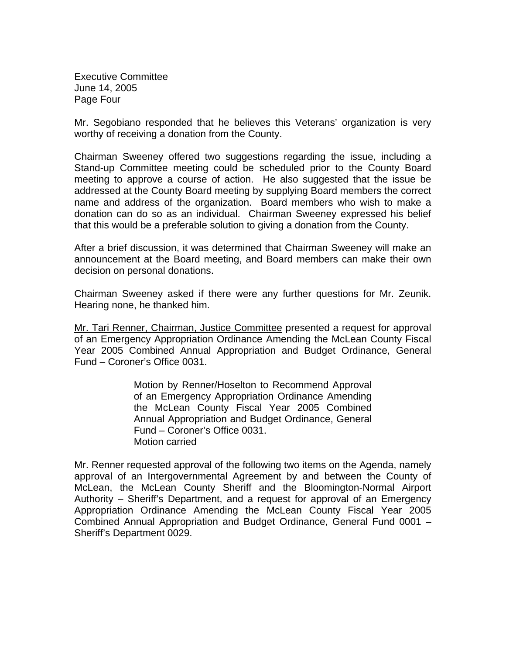Executive Committee June 14, 2005 Page Four

Mr. Segobiano responded that he believes this Veterans' organization is very worthy of receiving a donation from the County.

Chairman Sweeney offered two suggestions regarding the issue, including a Stand-up Committee meeting could be scheduled prior to the County Board meeting to approve a course of action. He also suggested that the issue be addressed at the County Board meeting by supplying Board members the correct name and address of the organization. Board members who wish to make a donation can do so as an individual. Chairman Sweeney expressed his belief that this would be a preferable solution to giving a donation from the County.

After a brief discussion, it was determined that Chairman Sweeney will make an announcement at the Board meeting, and Board members can make their own decision on personal donations.

Chairman Sweeney asked if there were any further questions for Mr. Zeunik. Hearing none, he thanked him.

Mr. Tari Renner, Chairman, Justice Committee presented a request for approval of an Emergency Appropriation Ordinance Amending the McLean County Fiscal Year 2005 Combined Annual Appropriation and Budget Ordinance, General Fund – Coroner's Office 0031.

> Motion by Renner/Hoselton to Recommend Approval of an Emergency Appropriation Ordinance Amending the McLean County Fiscal Year 2005 Combined Annual Appropriation and Budget Ordinance, General Fund – Coroner's Office 0031. Motion carried

Mr. Renner requested approval of the following two items on the Agenda, namely approval of an Intergovernmental Agreement by and between the County of McLean, the McLean County Sheriff and the Bloomington-Normal Airport Authority – Sheriff's Department, and a request for approval of an Emergency Appropriation Ordinance Amending the McLean County Fiscal Year 2005 Combined Annual Appropriation and Budget Ordinance, General Fund 0001 – Sheriff's Department 0029.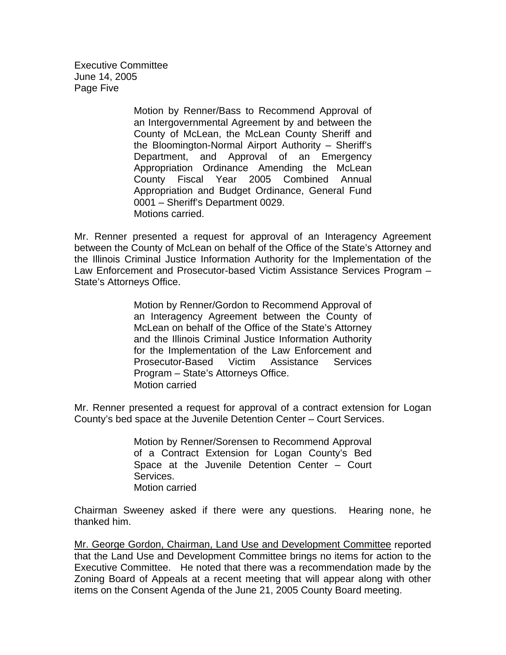Executive Committee June 14, 2005 Page Five

> Motion by Renner/Bass to Recommend Approval of an Intergovernmental Agreement by and between the County of McLean, the McLean County Sheriff and the Bloomington-Normal Airport Authority – Sheriff's Department, and Approval of an Emergency Appropriation Ordinance Amending the McLean County Fiscal Year 2005 Combined Annual Appropriation and Budget Ordinance, General Fund 0001 – Sheriff's Department 0029. Motions carried.

Mr. Renner presented a request for approval of an Interagency Agreement between the County of McLean on behalf of the Office of the State's Attorney and the Illinois Criminal Justice Information Authority for the Implementation of the Law Enforcement and Prosecutor-based Victim Assistance Services Program – State's Attorneys Office.

> Motion by Renner/Gordon to Recommend Approval of an Interagency Agreement between the County of McLean on behalf of the Office of the State's Attorney and the Illinois Criminal Justice Information Authority for the Implementation of the Law Enforcement and Prosecutor-Based Victim Assistance Services Program – State's Attorneys Office. Motion carried

Mr. Renner presented a request for approval of a contract extension for Logan County's bed space at the Juvenile Detention Center – Court Services.

> Motion by Renner/Sorensen to Recommend Approval of a Contract Extension for Logan County's Bed Space at the Juvenile Detention Center – Court Services. Motion carried

Chairman Sweeney asked if there were any questions. Hearing none, he thanked him.

Mr. George Gordon, Chairman, Land Use and Development Committee reported that the Land Use and Development Committee brings no items for action to the Executive Committee. He noted that there was a recommendation made by the Zoning Board of Appeals at a recent meeting that will appear along with other items on the Consent Agenda of the June 21, 2005 County Board meeting.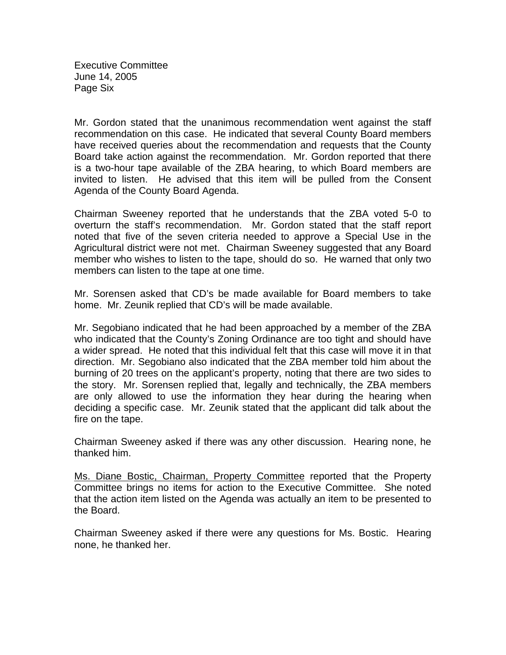Executive Committee June 14, 2005 Page Six

Mr. Gordon stated that the unanimous recommendation went against the staff recommendation on this case. He indicated that several County Board members have received queries about the recommendation and requests that the County Board take action against the recommendation. Mr. Gordon reported that there is a two-hour tape available of the ZBA hearing, to which Board members are invited to listen. He advised that this item will be pulled from the Consent Agenda of the County Board Agenda.

Chairman Sweeney reported that he understands that the ZBA voted 5-0 to overturn the staff's recommendation. Mr. Gordon stated that the staff report noted that five of the seven criteria needed to approve a Special Use in the Agricultural district were not met. Chairman Sweeney suggested that any Board member who wishes to listen to the tape, should do so. He warned that only two members can listen to the tape at one time.

Mr. Sorensen asked that CD's be made available for Board members to take home. Mr. Zeunik replied that CD's will be made available.

Mr. Segobiano indicated that he had been approached by a member of the ZBA who indicated that the County's Zoning Ordinance are too tight and should have a wider spread. He noted that this individual felt that this case will move it in that direction. Mr. Segobiano also indicated that the ZBA member told him about the burning of 20 trees on the applicant's property, noting that there are two sides to the story. Mr. Sorensen replied that, legally and technically, the ZBA members are only allowed to use the information they hear during the hearing when deciding a specific case. Mr. Zeunik stated that the applicant did talk about the fire on the tape.

Chairman Sweeney asked if there was any other discussion. Hearing none, he thanked him.

Ms. Diane Bostic, Chairman, Property Committee reported that the Property Committee brings no items for action to the Executive Committee. She noted that the action item listed on the Agenda was actually an item to be presented to the Board.

Chairman Sweeney asked if there were any questions for Ms. Bostic. Hearing none, he thanked her.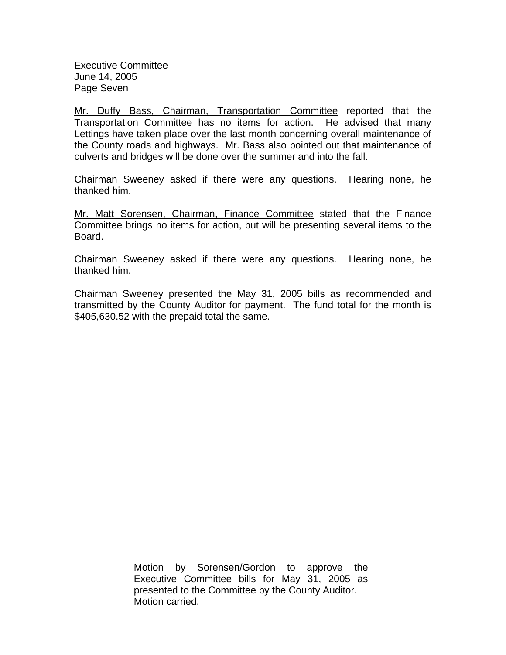Executive Committee June 14, 2005 Page Seven

Mr. Duffy Bass, Chairman, Transportation Committee reported that the Transportation Committee has no items for action. He advised that many Lettings have taken place over the last month concerning overall maintenance of the County roads and highways. Mr. Bass also pointed out that maintenance of culverts and bridges will be done over the summer and into the fall.

Chairman Sweeney asked if there were any questions. Hearing none, he thanked him.

Mr. Matt Sorensen, Chairman, Finance Committee stated that the Finance Committee brings no items for action, but will be presenting several items to the Board.

Chairman Sweeney asked if there were any questions. Hearing none, he thanked him.

Chairman Sweeney presented the May 31, 2005 bills as recommended and transmitted by the County Auditor for payment. The fund total for the month is \$405,630.52 with the prepaid total the same.

> Motion by Sorensen/Gordon to approve the Executive Committee bills for May 31, 2005 as presented to the Committee by the County Auditor. Motion carried.